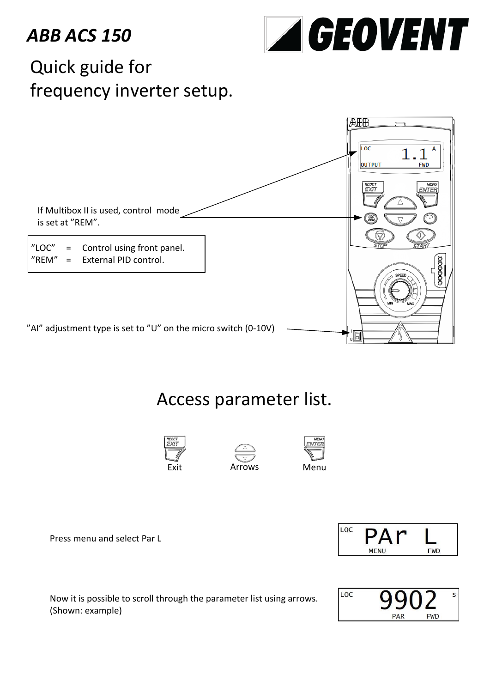

# Quick guide for ABB ACS 150<br>
Quick guide for<br>
frequency inverter setup.



#### Access parameter list.











Now it is possible to scroll through the parameter list using arrows. (Shown: example)

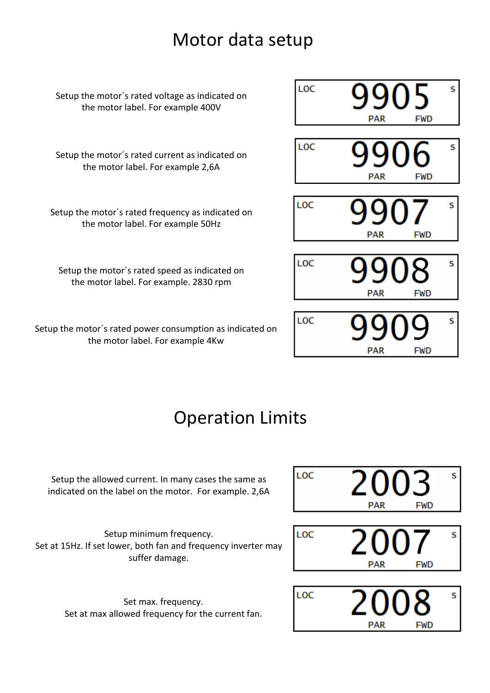## Motor data setup

| Setup the motor's rated voltage as indicated on<br>the motor label. For example 400V          | LOC<br>s<br><b>PAR</b><br><b>FWD</b> |
|-----------------------------------------------------------------------------------------------|--------------------------------------|
| Setup the motor's rated current as indicated on<br>the motor label. For example 2,6A          | LOC<br><b>PAR</b><br><b>FWD</b>      |
| Setup the motor's rated frequency as indicated on<br>the motor label. For example 50Hz        | LOC<br><b>PAR</b><br><b>FWD</b>      |
| Setup the motor's rated speed as indicated on<br>the motor label. For example. 2830 rpm       | LOC<br><b>PAR</b><br><b>FWD</b>      |
| Setup the motor's rated power consumption as indicated on<br>the motor label. For example 4Kw | LOC<br><b>PAR</b><br>FWD             |

# Operation Limits

LOC

Setup the allowed current. In many cases the same as indicated on the label on the motor. For example. 2,6A

Setup minimum frequency. Set at 15Hz. If set lower, both fan and frequency inverter may suffer damage.

**FWD PAR** LOC S Z **PAR FWD** LOC S **FWD PAR** 

20

S

Set max. frequency. Set at max allowed frequency for the current fan.